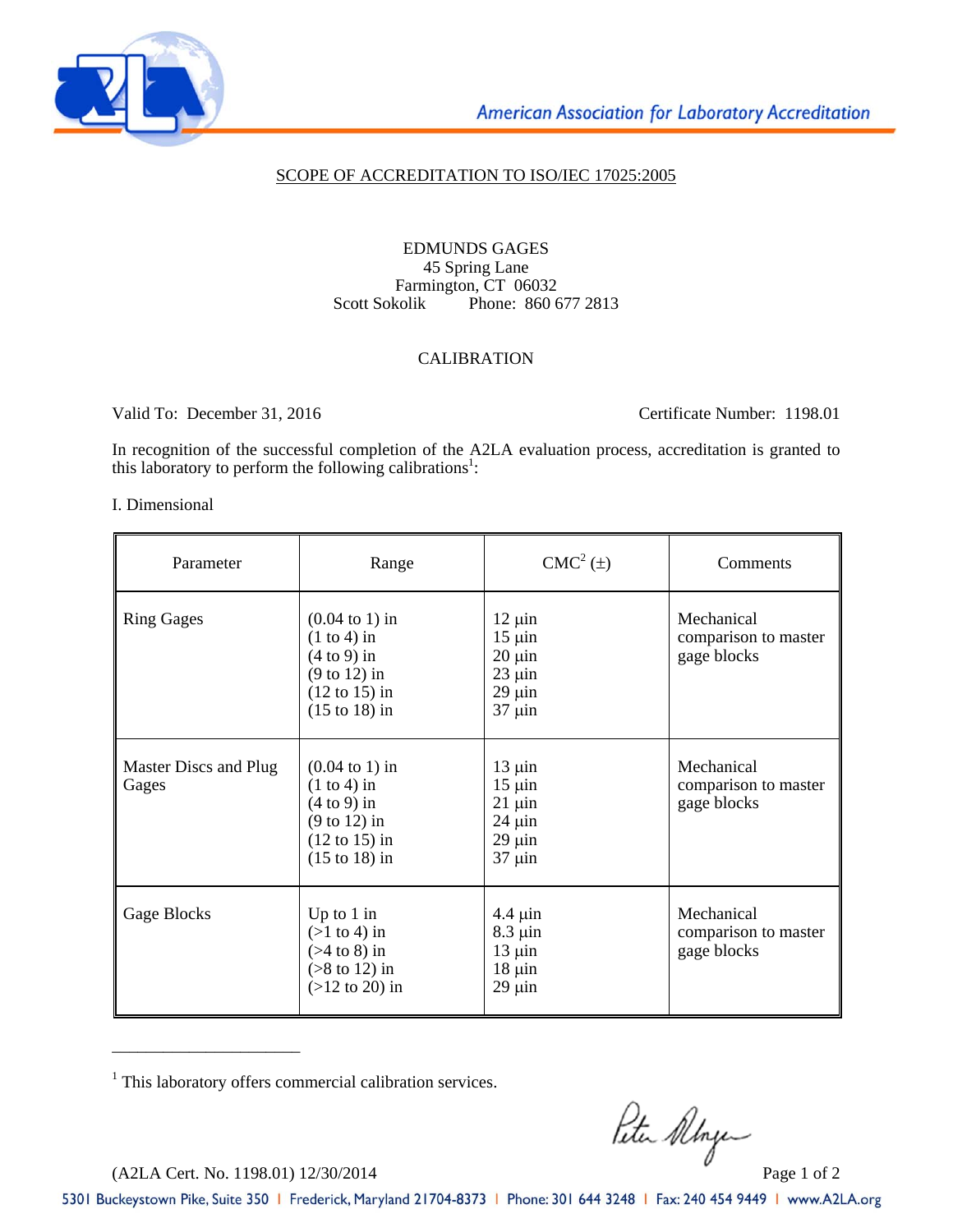

### SCOPE OF ACCREDITATION TO ISO/IEC 17025:2005

#### EDMUNDS GAGES 45 Spring Lane Farmington, CT 06032<br>Scott Sokolik Phone: 860 6 Phone: 860 677 2813

## CALIBRATION

Valid To: December 31, 2016 Certificate Number: 1198.01

In recognition of the successful completion of the A2LA evaluation process, accreditation is granted to this laboratory to perform the following calibrations<sup>1</sup>:

#### I. Dimensional

| Parameter                      | Range                                                                                                                                                  | $CMC2(\pm)$                                                                            | Comments                                          |
|--------------------------------|--------------------------------------------------------------------------------------------------------------------------------------------------------|----------------------------------------------------------------------------------------|---------------------------------------------------|
| <b>Ring Gages</b>              | $(0.04 \text{ to } 1) \text{ in}$<br>$(1 to 4)$ in<br>$(4 to 9)$ in<br>$(9 \text{ to } 12)$ in<br>$(12 \text{ to } 15)$ in<br>$(15 \text{ to } 18)$ in | $12 \mu$ in<br>$15 \mu$ in<br>$20 \mu$ in<br>$23 \mu$ in<br>$29 \mu$ in<br>$37 \mu$ in | Mechanical<br>comparison to master<br>gage blocks |
| Master Discs and Plug<br>Gages | $(0.04 \text{ to } 1) \text{ in}$<br>$(1 to 4)$ in<br>$(4 to 9)$ in<br>$(9 \text{ to } 12)$ in<br>$(12 \text{ to } 15)$ in<br>$(15 \text{ to } 18)$ in | $13 \mu$ in<br>$15 \mu$ in<br>$21 \mu$ in<br>$24 \mu$ in<br>$29 \mu$ in<br>$37 \mu$ in | Mechanical<br>comparison to master<br>gage blocks |
| Gage Blocks                    | Up to $1$ in<br>$(>1$ to 4) in<br>$($ >4 to 8) in<br>$($ >8 to 12) in<br>$(>12$ to 20) in                                                              | $4.4 \mu$ in<br>$8.3 \mu$ in<br>$13 \mu$ in<br>$18 \mu$ in<br>$29 \mu$ in              | Mechanical<br>comparison to master<br>gage blocks |

<sup>1</sup> This laboratory offers commercial calibration services.

 $R$ the Albye

\_\_\_\_\_\_\_\_\_\_\_\_\_\_\_\_\_\_\_\_\_\_

5301 Buckeystown Pike, Suite 350 | Frederick, Maryland 21704-8373 | Phone: 301 644 3248 | Fax: 240 454 9449 | www.A2LA.org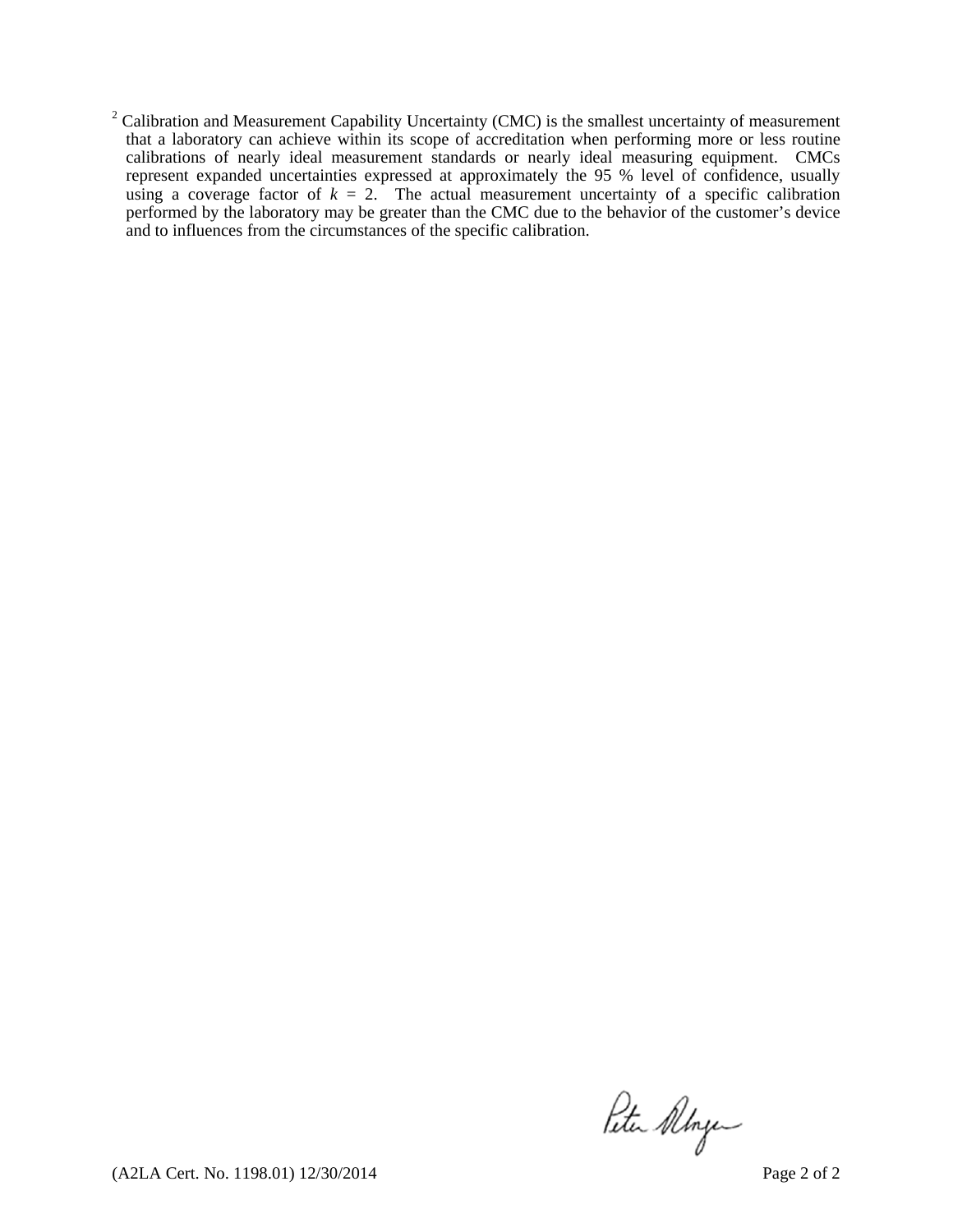$2^2$  Calibration and Measurement Capability Uncertainty (CMC) is the smallest uncertainty of measurement that a laboratory can achieve within its scope of accreditation when performing more or less routine calibrations of nearly ideal measurement standards or nearly ideal measuring equipment. CMCs represent expanded uncertainties expressed at approximately the 95 % level of confidence, usually using a coverage factor of  $k = 2$ . The actual measurement uncertainty of a specific calibration performed by the laboratory may be greater than the CMC due to the behavior of the customer's device and to influences from the circumstances of the specific calibration.

Peter Allyen